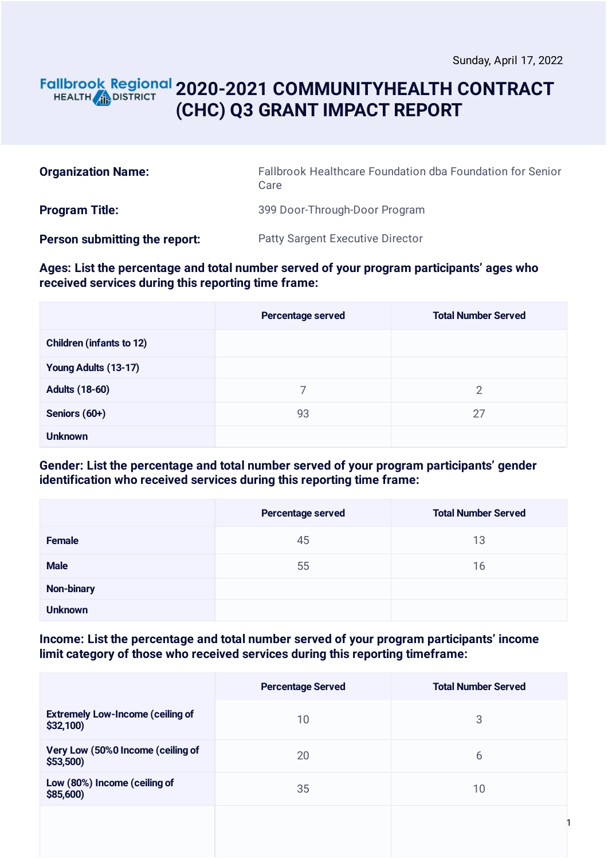1

## **2020-2021 COMMUNITYHEALTH CONTRACT** HEALTH **AND DISTRICT (CHC) Q3 GRANT IMPACT REPORT**

| <b>Organization Name:</b>     | Fallbrook Healthcare Foundation dba Foundation for Senior<br>Care |  |
|-------------------------------|-------------------------------------------------------------------|--|
| <b>Program Title:</b>         | 399 Door-Through-Door Program                                     |  |
| Person submitting the report: | <b>Patty Sargent Executive Director</b>                           |  |

#### **Ages: List the percentage and total number served of your program participants' ages who received services during this reporting time frame:**

|                                 | Percentage served | <b>Total Number Served</b> |
|---------------------------------|-------------------|----------------------------|
| <b>Children (infants to 12)</b> |                   |                            |
| Young Adults (13-17)            |                   |                            |
| <b>Adults (18-60)</b>           | 7                 | $\overline{2}$             |
| Seniors (60+)                   | 93                | 27                         |
| <b>Unknown</b>                  |                   |                            |

### **Gender: List the percentage and total number served of your program participants' gender identification who received services during this reporting time frame:**

|                | Percentage served | <b>Total Number Served</b> |
|----------------|-------------------|----------------------------|
| <b>Female</b>  | 45                | 13                         |
| <b>Male</b>    | 55                | 16                         |
| Non-binary     |                   |                            |
| <b>Unknown</b> |                   |                            |

#### **Income: List the percentage and total number served of your program participants' income limit category of those who received services during this reporting timeframe:**

|                                                     | <b>Percentage Served</b> | <b>Total Number Served</b> |
|-----------------------------------------------------|--------------------------|----------------------------|
| <b>Extremely Low-Income (ceiling of</b><br>\$32,100 | 10                       | 3                          |
| Very Low (50%0 Income (ceiling of<br>\$53,500)      | 20                       | 6                          |
| Low (80%) Income (ceiling of<br>\$85,600            | 35                       | 10                         |
|                                                     |                          |                            |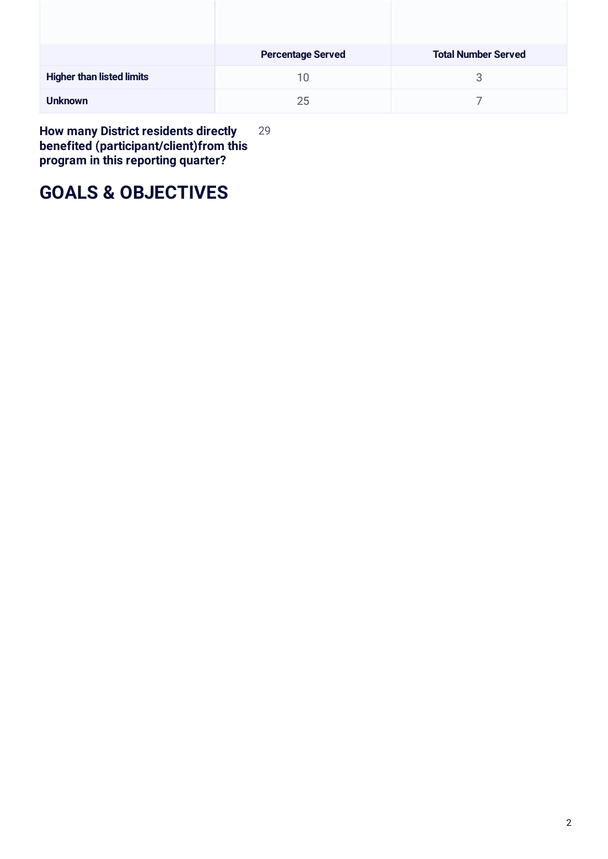|                                  | <b>Percentage Served</b> | <b>Total Number Served</b> |
|----------------------------------|--------------------------|----------------------------|
| <b>Higher than listed limits</b> | 10                       | 3                          |
| <b>Unknown</b>                   | 25                       |                            |

**How many District residents directly benefited (participant/client)from this program in this reporting quarter?** 29

# **GOALS & OBJECTIVES**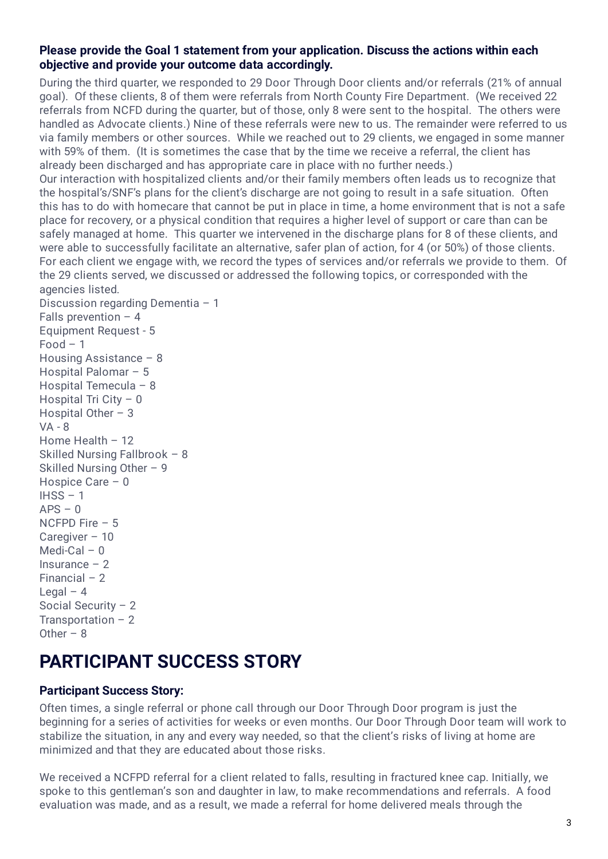### **Please provide the Goal 1 statement from your application. Discuss the actions within each objective and provide your outcome data accordingly.**

During the third quarter, we responded to 29 Door Through Door clients and/or referrals (21% of annual goal). Of these clients, 8 of them were referrals from North County Fire Department. (We received 22 referrals from NCFD during the quarter, but of those, only 8 were sent to the hospital. The others were handled as Advocate clients.) Nine of these referrals were new to us. The remainder were referred to us via family members or other sources. While we reached out to 29 clients, we engaged in some manner with 59% of them. (It is sometimes the case that by the time we receive a referral, the client has already been discharged and has appropriate care in place with no further needs.)

Our interaction with hospitalized clients and/or their family members often leads us to recognize that the hospital's/SNF's plans for the client's discharge are not going to result in a safe situation. Often this has to do with homecare that cannot be put in place in time, a home environment that is not a safe place for recovery, or a physical condition that requires a higher level of support or care than can be safely managed at home. This quarter we intervened in the discharge plans for 8 of these clients, and were able to successfully facilitate an alternative, safer plan of action, for 4 (or 50%) of those clients. For each client we engage with, we record the types of services and/or referrals we provide to them. Of the 29 clients served, we discussed or addressed the following topics, or corresponded with the agencies listed.

Discussion regarding Dementia – 1 Falls prevention  $-4$ Equipment Request - 5  $Food - 1$ Housing Assistance – 8 Hospital Palomar – 5 Hospital Temecula – 8 Hospital Tri City – 0 Hospital Other  $-3$ VA - 8 Home Health – 12 Skilled Nursing Fallbrook – 8 Skilled Nursing Other – 9 Hospice Care – 0  $IHSS - 1$  $APS - 0$ NCFPD Fire – 5 Caregiver – 10 Medi-Cal – 0 Insurance – 2 Financial – 2 Legal  $-4$ Social Security – 2 Transportation  $-2$ Other –  $8$ 

# **PARTICIPANT SUCCESS STORY**

### **Participant Success Story:**

Often times, a single referral or phone call through our Door Through Door program is just the beginning for a series of activities for weeks or even months. Our Door Through Door team will work to stabilize the situation, in any and every way needed, so that the client's risks of living at home are minimized and that they are educated about those risks.

We received a NCFPD referral for a client related to falls, resulting in fractured knee cap. Initially, we spoke to this gentleman's son and daughter in law, to make recommendations and referrals. A food evaluation was made, and as a result, we made a referral for home delivered meals through the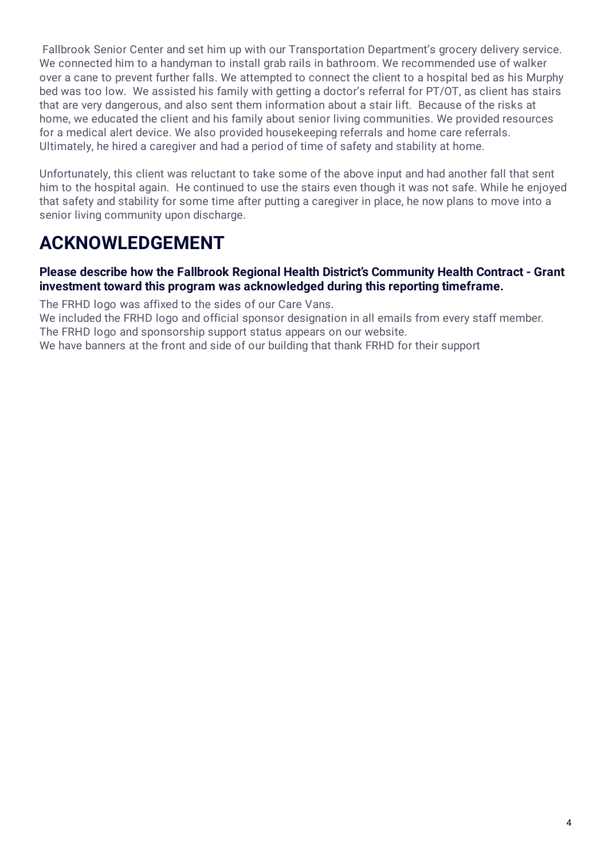Fallbrook Senior Center and set him up with our Transportation Department's grocery delivery service. We connected him to a handyman to install grab rails in bathroom. We recommended use of walker over a cane to prevent further falls. We attempted to connect the client to a hospital bed as his Murphy bed was too low. We assisted his family with getting a doctor's referral for PT/OT, as client has stairs that are very dangerous, and also sent them information about a stair lift. Because of the risks at home, we educated the client and his family about senior living communities. We provided resources for a medical alert device. We also provided housekeeping referrals and home care referrals. Ultimately, he hired a caregiver and had a period of time of safety and stability at home.

Unfortunately, this client was reluctant to take some of the above input and had another fall that sent him to the hospital again. He continued to use the stairs even though it was not safe. While he enjoyed that safety and stability for some time after putting a caregiver in place, he now plans to move into a senior living community upon discharge.

# **ACKNOWLEDGEMENT**

### **Please describe how the Fallbrook Regional Health District's Community Health Contract - Grant investment toward this program was acknowledged during this reporting timeframe.**

The FRHD logo was affixed to the sides of our Care Vans.

We included the FRHD logo and official sponsor designation in all emails from every staff member. The FRHD logo and sponsorship support status appears on our website.

We have banners at the front and side of our building that thank FRHD for their support